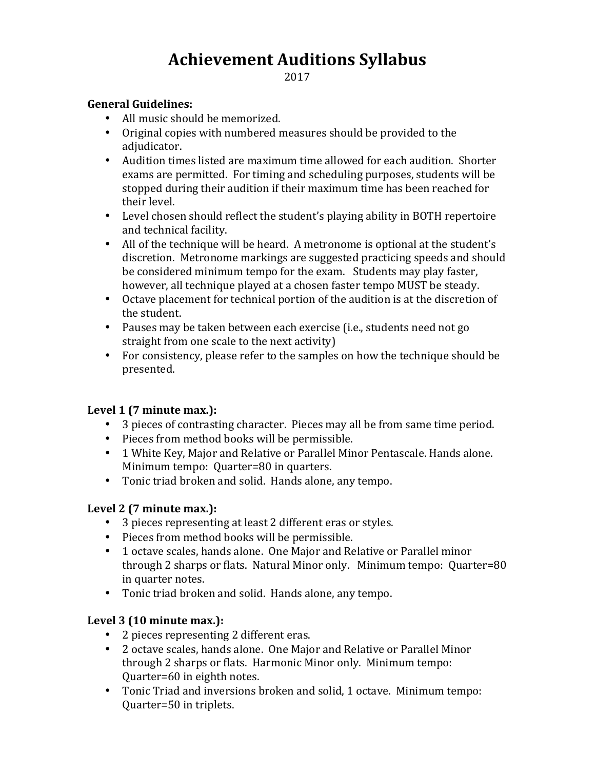# **Achievement Auditions Syllabus**

2017

#### **General Guidelines:**

- All music should be memorized.
- Original copies with numbered measures should be provided to the adjudicator.
- Audition times listed are maximum time allowed for each audition. Shorter exams are permitted. For timing and scheduling purposes, students will be stopped during their audition if their maximum time has been reached for their level.
- Level chosen should reflect the student's playing ability in BOTH repertoire and technical facility.
- All of the technique will be heard. A metronome is optional at the student's discretion. Metronome markings are suggested practicing speeds and should be considered minimum tempo for the exam. Students may play faster, however, all technique played at a chosen faster tempo MUST be steady.
- Octave placement for technical portion of the audition is at the discretion of the student.
- Pauses may be taken between each exercise (i.e., students need not go straight from one scale to the next activity)
- For consistency, please refer to the samples on how the technique should be presented.

### Level 1 (7 minute max.):

- 3 pieces of contrasting character. Pieces may all be from same time period.
- Pieces from method books will be permissible.
- 1 White Key, Major and Relative or Parallel Minor Pentascale. Hands alone. Minimum tempo: Ouarter=80 in quarters.
- Tonic triad broken and solid. Hands alone, any tempo.

### Level 2 (7 minute max.):

- 3 pieces representing at least 2 different eras or styles.
- Pieces from method books will be permissible.
- 1 octave scales, hands alone. One Major and Relative or Parallel minor through 2 sharps or flats. Natural Minor only. Minimum tempo: Quarter=80 in quarter notes.
- Tonic triad broken and solid. Hands alone, any tempo.

### Level 3 (10 minute max.):

- 2 pieces representing 2 different eras.
- 2 octave scales, hands alone. One Major and Relative or Parallel Minor through 2 sharps or flats. Harmonic Minor only. Minimum tempo: Quarter=60 in eighth notes.
- Tonic Triad and inversions broken and solid, 1 octave. Minimum tempo: Quarter=50 in triplets.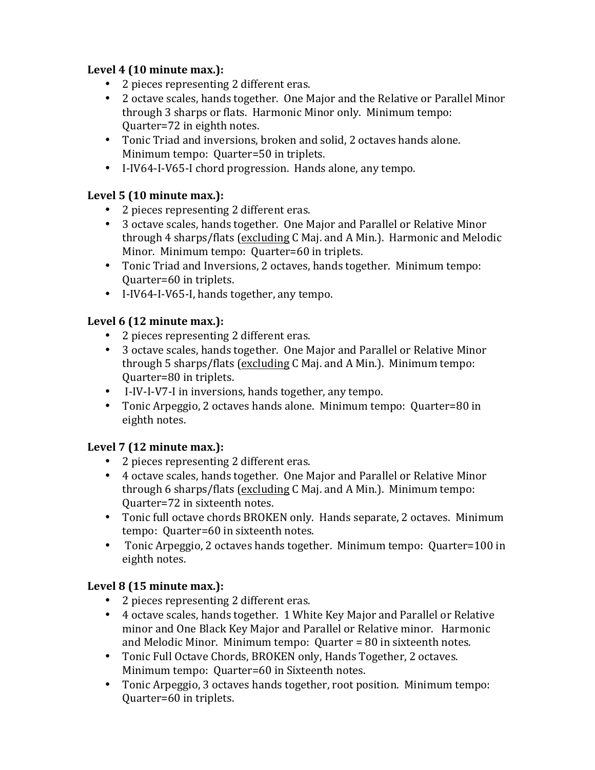# Level 4 (10 minute max.):

- 2 pieces representing 2 different eras.
- 2 octave scales, hands together. One Major and the Relative or Parallel Minor through 3 sharps or flats. Harmonic Minor only. Minimum tempo: Quarter=72 in eighth notes.
- Tonic Triad and inversions, broken and solid, 2 octaves hands alone. Minimum tempo: Quarter=50 in triplets.
- I-IV64-I-V65-I chord progression. Hands alone, any tempo.

# Level 5 (10 minute max.):

- 2 pieces representing 2 different eras.
- 3 octave scales, hands together. One Major and Parallel or Relative Minor through 4 sharps/flats (excluding C Maj. and A Min.). Harmonic and Melodic Minor. Minimum tempo: Quarter=60 in triplets.
- Tonic Triad and Inversions, 2 octaves, hands together. Minimum tempo: Quarter=60 in triplets.
- I-IV64-I-V65-I, hands together, any tempo.

# Level 6 (12 minute max.):

- 2 pieces representing 2 different eras.
- 3 octave scales, hands together. One Major and Parallel or Relative Minor through 5 sharps/flats (excluding C Maj. and A Min.). Minimum tempo: Quarter=80 in triplets.
- I-IV-I-V7-I in inversions, hands together, any tempo.
- Tonic Arpeggio, 2 octaves hands alone. Minimum tempo: Quarter=80 in eighth notes.

# Level 7 (12 minute max.):

- 2 pieces representing 2 different eras.
- 4 octave scales, hands together. One Major and Parallel or Relative Minor through 6 sharps/flats (excluding C Maj. and A Min.). Minimum tempo: Quarter=72 in sixteenth notes.
- Tonic full octave chords BROKEN only. Hands separate, 2 octaves. Minimum tempo: Ouarter=60 in sixteenth notes.
- Tonic Arpeggio, 2 octaves hands together. Minimum tempo: Quarter=100 in eighth notes.

# Level 8 (15 minute max.):

- 2 pieces representing 2 different eras.
- 4 octave scales, hands together. 1 White Key Major and Parallel or Relative minor and One Black Key Major and Parallel or Relative minor. Harmonic and Melodic Minor. Minimum tempo:  $Quarter = 80$  in sixteenth notes.
- Tonic Full Octave Chords, BROKEN only, Hands Together, 2 octaves. Minimum tempo: Quarter=60 in Sixteenth notes.
- Tonic Arpeggio, 3 octaves hands together, root position. Minimum tempo: Quarter=60 in triplets.